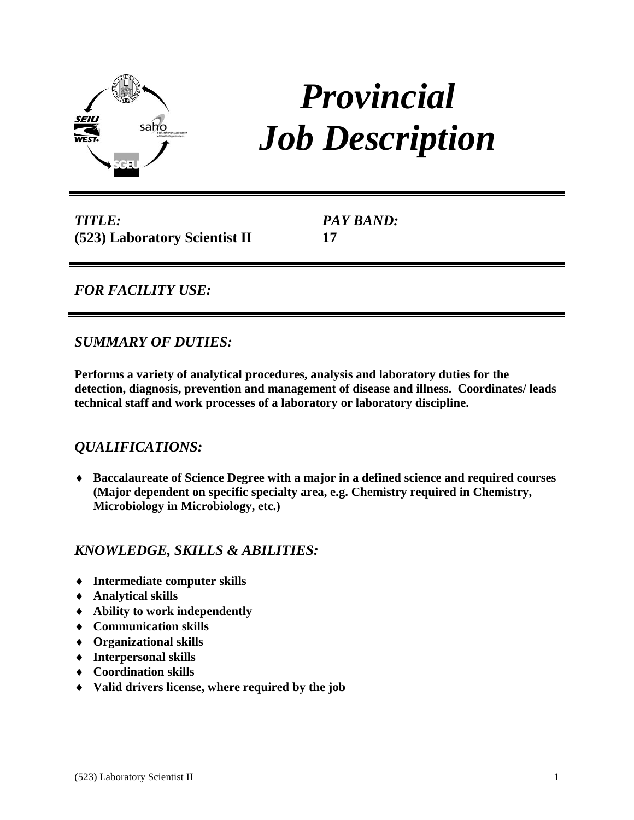

# *Provincial Job Description*

*TITLE:* **(523) Laboratory Scientist II** *PAY BAND:* **17**

## *FOR FACILITY USE:*

## *SUMMARY OF DUTIES:*

**Performs a variety of analytical procedures, analysis and laboratory duties for the detection, diagnosis, prevention and management of disease and illness. Coordinates/ leads technical staff and work processes of a laboratory or laboratory discipline.**

## *QUALIFICATIONS:*

 **Baccalaureate of Science Degree with a major in a defined science and required courses (Major dependent on specific specialty area, e.g. Chemistry required in Chemistry, Microbiology in Microbiology, etc.)**

# *KNOWLEDGE, SKILLS & ABILITIES:*

- **Intermediate computer skills**
- **Analytical skills**
- **Ability to work independently**
- **Communication skills**
- **Organizational skills**
- **Interpersonal skills**
- **Coordination skills**
- **Valid drivers license, where required by the job**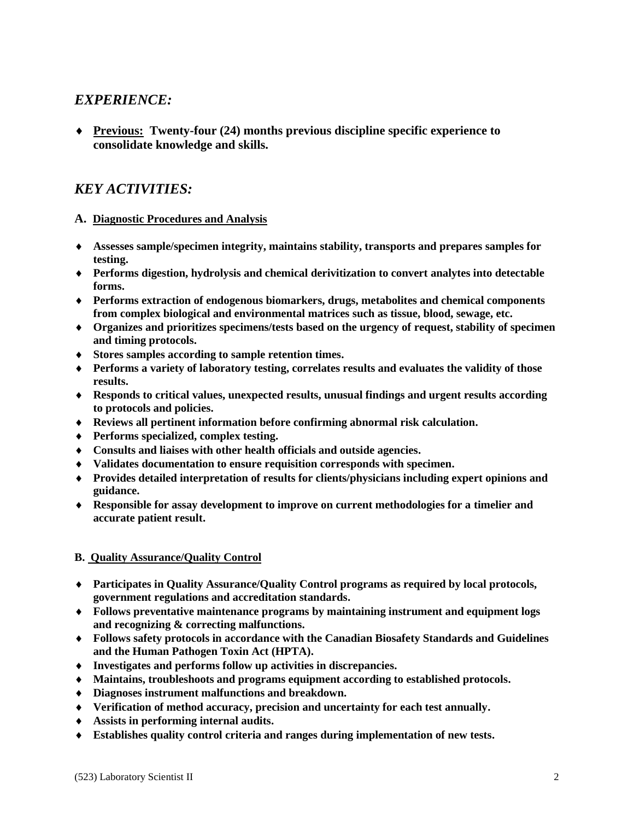## *EXPERIENCE:*

 **Previous: Twenty-four (24) months previous discipline specific experience to consolidate knowledge and skills.**

# *KEY ACTIVITIES:*

### **A. Diagnostic Procedures and Analysis**

- **Assesses sample/specimen integrity, maintains stability, transports and prepares samples for testing.**
- **Performs digestion, hydrolysis and chemical derivitization to convert analytes into detectable forms.**
- **Performs extraction of endogenous biomarkers, drugs, metabolites and chemical components from complex biological and environmental matrices such as tissue, blood, sewage, etc.**
- **Organizes and prioritizes specimens/tests based on the urgency of request, stability of specimen and timing protocols.**
- **Stores samples according to sample retention times.**
- **Performs a variety of laboratory testing, correlates results and evaluates the validity of those results.**
- **Responds to critical values, unexpected results, unusual findings and urgent results according to protocols and policies.**
- **Reviews all pertinent information before confirming abnormal risk calculation.**
- **Performs specialized, complex testing.**
- **Consults and liaises with other health officials and outside agencies.**
- **Validates documentation to ensure requisition corresponds with specimen.**
- **Provides detailed interpretation of results for clients/physicians including expert opinions and guidance.**
- **Responsible for assay development to improve on current methodologies for a timelier and accurate patient result.**

### **B. Quality Assurance/Quality Control**

- **Participates in Quality Assurance/Quality Control programs as required by local protocols, government regulations and accreditation standards.**
- **Follows preventative maintenance programs by maintaining instrument and equipment logs and recognizing & correcting malfunctions.**
- **Follows safety protocols in accordance with the Canadian Biosafety Standards and Guidelines and the Human Pathogen Toxin Act (HPTA).**
- **Investigates and performs follow up activities in discrepancies.**
- **Maintains, troubleshoots and programs equipment according to established protocols.**
- **Diagnoses instrument malfunctions and breakdown.**
- **Verification of method accuracy, precision and uncertainty for each test annually.**
- **Assists in performing internal audits.**
- **Establishes quality control criteria and ranges during implementation of new tests.**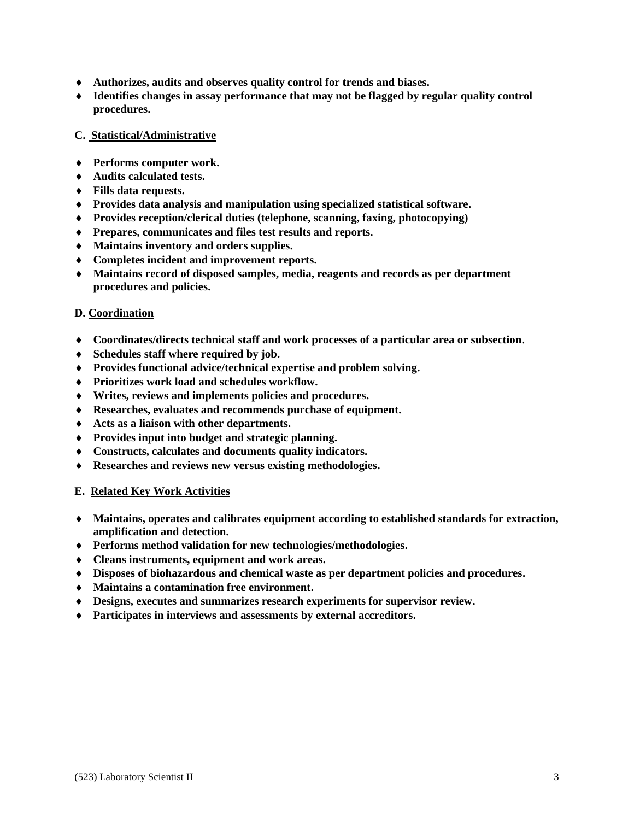- **Authorizes, audits and observes quality control for trends and biases.**
- **Identifies changes in assay performance that may not be flagged by regular quality control procedures.**

#### **C. Statistical/Administrative**

- **Performs computer work.**
- **Audits calculated tests.**
- **Fills data requests.**
- **Provides data analysis and manipulation using specialized statistical software.**
- **Provides reception/clerical duties (telephone, scanning, faxing, photocopying)**
- **Prepares, communicates and files test results and reports.**
- **Maintains inventory and orders supplies.**
- **Completes incident and improvement reports.**
- **Maintains record of disposed samples, media, reagents and records as per department procedures and policies.**

### **D. Coordination**

- **Coordinates/directs technical staff and work processes of a particular area or subsection.**
- **Schedules staff where required by job.**
- **Provides functional advice/technical expertise and problem solving.**
- **Prioritizes work load and schedules workflow.**
- **Writes, reviews and implements policies and procedures.**
- **Researches, evaluates and recommends purchase of equipment.**
- **Acts as a liaison with other departments.**
- **Provides input into budget and strategic planning.**
- **Constructs, calculates and documents quality indicators.**
- **Researches and reviews new versus existing methodologies.**

#### **E. Related Key Work Activities**

- **Maintains, operates and calibrates equipment according to established standards for extraction, amplification and detection.**
- **Performs method validation for new technologies/methodologies.**
- **Cleans instruments, equipment and work areas.**
- **Disposes of biohazardous and chemical waste as per department policies and procedures.**
- **Maintains a contamination free environment.**
- **Designs, executes and summarizes research experiments for supervisor review.**
- **Participates in interviews and assessments by external accreditors.**